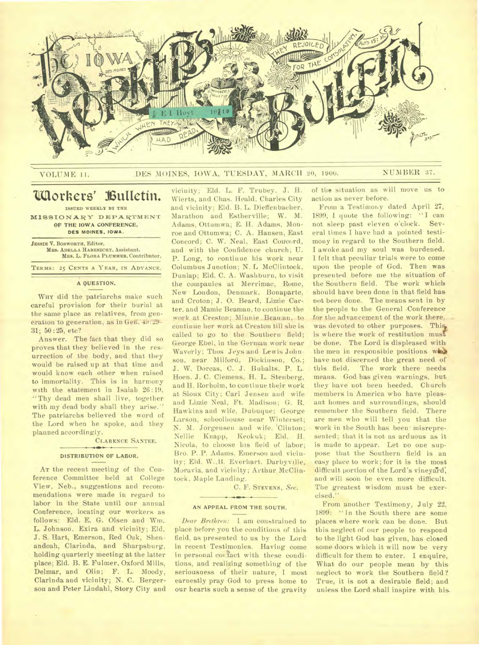

# VOLUME 11. DES MOINES, IOWA, TUESDAY, MARCH 20, 1900. NUMBER 37.

# **`Workers' Vutietin.**

**ISSUED WEEKLY BY THE MISSIONARY DEPARTMENT OF THE IOWA CONFERENCE,** 

**DES MOINES, IOWA.** 

**JESSIE V. BOSWORTH, Editor. MRS. ADELLA HABENICHT, Assistant. MRS. L. FLORA PLUMMER, Contributor.** 

**TERMS: 25 CENTS A YEAR, IN ADVANCE.** 

## **A QUESTION.**

**WHY** did the patriarchs make such careful provision for their burial at the same place as relatives, from generation to generation, as in Gen. 49:29-31; 50:25, etc?

Answer. The fact that they did so proves that they believed in the resurrection of the body, and that they would be raised up at that time and would know each other when raised to immortality. This is in harmony with the statement in Isaiah 26:19. "Thy dead men shall live, together with my dead body shall they arise." The patriarchs believed the word of the Lord when he spoke, and they planned accordingly.

# CLARENCE **SANTEE.**

## **DISTRIBUTION OF LABOR.**

**AT** the recent meeting of the Conference Committee held at College View, Neb., suggestions and recommendations were made in regard to labor in the State until our annual Conference, locating our workers as follows: Eld. E. G. Olsen and Wm. L. Johnson. Exira and vicinity; Eld. J. S. Hart, Emerson, Red Oak, Shenandoah, Clarinda, and Sharpsburg, holding quarterly meeting at the latter place; Eld. B. E. Fulmer, Oxford Mills, Delmar, and Olin; F. L. Moody, Clarinda and vicinity; N. C. Bergerson and Peter Lindahl, Story City and

vicinity; Eld. L. F. Trubey, J. H. Wierts, and Chas. Heald, Charles City and vicinity; Eld. B. L. Dieffenbacher, Marathon and Estherville; W. M. Adams, Ottumwa; E. H. Adams, Monroe and Ottumwa; C. A. Hansen, East Concord; C. W. Neal, East Concord, and with the Confidence church; U. P. Long, to continue his work near Columbus Junction; N. L McClintock. Dunlap; Eld. C. A. Washburn, to visit the companies at Merrimac, Rome, New Loudon, Denmark, Bonaparte. and Croton; J. 0. Beard, Lizzie Carter, and Mamie Beaman, to continue the work at Creston; Minnie Beaman, to continue her work at Creston till she is called to go to the Southern field; George Ebel, in the German work near Waverly; Thos Jeys and Lewis Johnson, near Milford, Dickinson, Co.; J. W. Dorcas, C. J. Buhalts, P. L. Hoen. J. C. Clemens, H. L. Stenberg, and H. Rorholm, to continue their work at Sioux City; Carl Jensen and wife and Lizzie Neal, Ft. Madison; G. R. Hawkins and wife, Dubuque; George Larson, schoolhouse near Winterset; N. M. Jorgensen and wife. 'Clinton; Nellie Knapp, Keokuk; Eld. H. Nicola, to choose his field of labor; Bro. P..P. Adams. Emerson and vicinity; Eld. W..B. Everhart. Darbyville, Moravia, and vicinity; Arthur McClintock, Maple Landing.

C. F. **STEVENS,** *Sec.* 

## $\leftarrow$ **AN APPEAL FROM THE SOUTH.**

*Dear Brethren: I* am constrained to place before you the conditions of this field, as presented to us by the Lord. in recent Testimonies. Having come in personal contact with these conditions, and realizing something of the seriousness of their nature, I most earnestly pray God to press home to our hearts such a sense of the gravity

of the situation as will move us to action as never before.

From a Testimony dated April 27, 1899, 1 quote the following: "I can not sleep past eleven o'clock. Several times I have had a pointed testimony in regard to the Southern field. I awoke and my soul was burdened. I felt that peculiar trials were to come upon the people of God. Then was presented before me the situation of the Southern field. The work which should have been done in that field has not been done. The means sent in by the people to the General Conference for the advancement of the work there, was devoted to other purposes. This is where the work of restitution must be done. The Lord is displeased with the men in responsible positions who have not discerned the great need of this field. The work there needs means. God has given warnings, but they have not been heeded. Church members in America who have pleasant homes and surroundings, should remember the Southern field. There are men who will tell you that the work in the South has been- misrepresented; that it is not as arduous as it is made to appear. Let no one suppose that the Southern field is an easy place to work; for it is the most difficult portion of the Lord's vineyard; and will soon be even more difficult. The greatest wisdom must be exercised."

From another Testimony, July 22, 1899. "In the South there are some places where work can be done. But this neglect of our people to respond to the light God has given, has closed some doors which it will now be very difficult for them to enter. I enquire, What do our people mean by this neglect to work. the Southern field? True, it is not a desirable field; and unless the Lord shall inspire with his.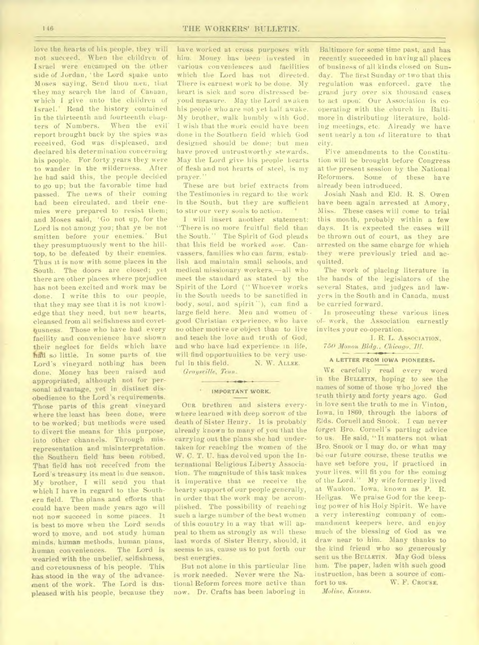love the hearts of his people, they will not succeed. When the children of Israel were encamped on the other side of Jordan, 'the Lord spake unto Moses saying, Send thou wen, that they may search the land of Canaan, which I give unto the children of Israel.' Read the history contained in the thirteenth and fourteenth chap-<br>ters of Numbers. When the evil ters of Numbers. report brought back by the spies was received, God was displeased, and declared his determination concerning his people. For forty years they were to wander in the wilderness. After he had said this, the people decided to go up; but the favorable time had passed. The news of their coming had been circulated. and their enemies were prepared to resist them; and Moses said, 'Go not up, for the Lord is not among you; that ye be not smitten before your enemies.' But they presumptuously went to the hilltop, to be defeated by their enemies. Thus it is now with some places in the South. The doors are closed; yet there are other places where prejudice has not been excited and work may be done. I write this to our people, that they may see that it is not knowledge that they need, but new hearts, cleansed from all selfishness and covet busness. Those who have had every facility and convenience have shown their neglect for fields which have had so little. In some parts of the Lord's vineyard nothing has been done. Money has been raised and appropriated, although not for personal advantage, yet in distinct disobedience to the Lord's requirements. Those parts of this great vineyard where the least has been done, were to be worked; but methods were used to divert the means for this purpose, into other channels. Through misrepresentation and misinterpretation, the Southern field has been robbed. That field has not received from the Lord's treasury its meat in due season. My brother, I will send you that which I have in regard to the Southern field. The plans and efforts that could have been made years ago will not now succeed in some places. It is best to move when the Lord sends word to move, and not study human minds, human methods, human plans, human conveniences. The Lord is wearied with the unbelief, selfishness, and covetousness of his people. This has stood in the way of the advancement of the work. The Lord is displeased with his people, because they

have worked at cross purposes with him. Money has been invested in various conveniences and facilities which the Lord has not directed. There is earnest work to be done. My heart is sick and sore distressed beyond measure. May the Lord awaken his people who are not yet half awake. My brother, walk humbly with God. I wish that the work could have been done in the Southern field which God designed should be done; but men have proved untrustworthy stewards. May the Lord give his people hearts of flesh and not hearts of steel, is my prayer."

These are but brief extracts from the Testimonies in regard to the work in the South, but they are sufficient to stir our very souls to action.  $\mathcal{R}_{\mathrm{c}}$ 

I will insert another statement: "There is no more fruitful field than the South." The Spirit of God pleads that this field be worked *now.* Canvassers, families who can farm, establish and maintain small schools, and medical missionary workers,—all who meet the standard as stated by the Spirit of the Lord ("Whoever works in the South needs to be sanctified in body, soul, and spirit''), can find a large field here. Men and women of good Christian experience, who have no other motive or object than to live and teach the love and truth of God, and who have had experience in life, will find opportunities to be very useful in this field. N. W. ALLEE.

*Graysville, Tenn.* 

# $\rightarrow$ **IMPORTANT WORK.**

OUR brethren and sisters everywhere learned with deep sorrow of the death of Sister Henry. It is probably already known to many of you that the carrying out the plans she had undertaken for reaching the women of the W. C. T. U. has devolved upon the International Religious Liberty Association. The magnitude of this task makes it imperative that we receive the hearty support of our people generally, in order that the work may be accomplished. The possibility of reaching such a large number of the best women of this country in a way that will appeal to them as strongly as will these last words of Sister Henry, should, it seems to us, cause us to put forth our best energies.

But not alone in this particular line is work needed. Never were the National Reform forces more active than now. Dr. Crafts has been laboring in

Baltimore for some time past, and has recently succeeded in having all places of business of all kinds closed on Sunday. The first Sunday or two that this regulation was enforced, gave the grand jury over six thousand cases to act upon: Our Association is cooperating with the church in Baltimore in distributing literature, holding meetings, etc. Already we have sent nearly a ton of literature to that city.

Five amendments to the Constitution will be brought before Congress at the present session by the National Reformers. Some of these have already been introduced.

Josiah Nash and Eld. R. S. Owen have been again arrested at Amory, Miss. These cases will come to trial this month, probably within a few days. It is expected the cases will be thrown out of court, as they are arrested on the same charge for which they were previously tried and acquitted.

The work of placing literature in the hands of the legislators of the several States, and judges and lawyers in the South and in Canada, must be carried forward.

In prosecuting these various lines of- work, the Association earnestly invites your co-operation.

I. R. L. ASSOCIATION, *750 Monon Bldg., Chicago, 711.* 

#### A LETTER FROM IOWA PIONEERS.

WE carefully read every word in the BULLETIN, hoping to see the names of some of those who Joved the truth thirty and forty years ago. God in love sent the truth to me in Vinton, Iowa. in 1860, through the labors of Elds. Cornell and Snook. I can never forget Bro. Cornell's parting advice to us. He said, "It matters not what Bro. Snook or I may do. or what may be our future course, these truths we have set before you, if practiced in your lives, will fit you for the coming of the Lord." My wife formerly lived at Waukon, Iowa. known as P. R. Heligas. We praise God for the keeping power of his Holy Spirit. We have a very interesting company of commandment keepers here, and enjoy much of the blessing of God as we draw near to him. Many thanks to the kind friend who so generously sent us the BULLETIN. May God bless him. The paper, laden with such good instruction, has been a source of comfort to us. W. F. CROUSE.

*Moline, Kansas.*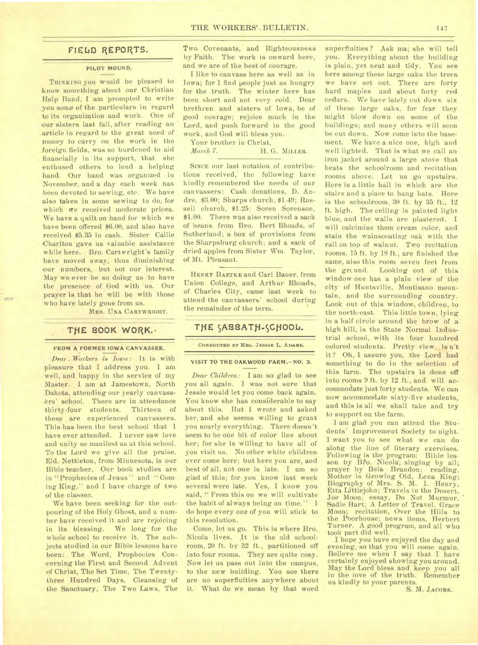# FIELD **REPORTS.**

### **PILOT MOUND.**

**THINKING** you would be pleased to know something about our Christian Help Band, I am prompted to write you some of the particulars in regard to its organization and work. One of our sisters last fall, after reading an article in regard to the great need of money to carry on the work in the foreign fields, was so burdened to aid financially in its support, that she enthused others to lend a helping hand. Qur band was organized in November, and a day each week has been devoted to sewing, etc. We have also taken in some sewing to do, for which we received moderate prices. We have a quilt on hand for which we have been offered \$6.00, and also have received \$5.35 in cash. Sister Callie Charlton gave us valuable assistance while here. Bro. Cartwright's family have moved away, thus diminishing our numbers, but not our interest. May we ever be so doing as to have the presence of God with us. Our prayer is that he will be with those who have lately gone from us.

**MRS. UNA CARTWRIOHT.** 

## THE BOOK WORK.

#### FROM A FORMER IOWA CANVASSER.

*Dear. Workers in Iowa: It* is with pleasure that I address you. I am well, and happy in the service of my Master. I am at Jamestown. North Dakota, attending our yearly canvassers' school. There are in attendance thirty-four students. Thirteen of these are experienced canvassers. This has been the best school that I have ever attended. I never saw love and unity so manifest as at this school. To the Lord we give all the praise. Eld. Nettleton, from Minnesota, is our Bible teacher. Our book studies are in "Prophecies of Jesus" and "Coming King," and I have charge of two of the classes.

We have been seeking for the outpouring of the Holy Ghost, and a number have received it and are rejoicing in its blessing. We long for the whole school to receive it. The subjects studied in our Bible lessons have been: The Word, Prophecies Concerning the First and Second Advent of Christ, The Set Time, The Twentythree Hundred Days, Cleansing of the Sanctuary, The Two Laws, The

Two Covenants, and Righteousness by Faith. The work is onward here, and we are of the best of courage.

I like to canvass here as well as in Iowa; for I find people just as hungry for the truth. The winter here has been short and not very cold. Dear brethren and sisters of Iowa, be of good courage; rejoice much in the Lord, and push forward in the good work, and God will bless you.

Your brother in Christ,

*March* 7. H. G. **MILLER.** 

**SINCE** our last notation of contributions received,' the following have kindly remembered the needs of our canvassers: Cash donations, D. Andre, \$3.00; Sharps church, \$1.49; Russell church, \$1.25; Soren Sorenson, \$1.00. There was also received a sack of beans from Bro. Bert Rhoads, of Sutherland; a box of provisions from the Sharpsburg church; and a sack of dried apples from Sister Wm. Taylor, of Mt. Pleasant.

**HENRY BAETKE** and Carl Bauer, from Union College, and Arthur Rhoads, of Charles City, came last week to attend the canvassers' school during the remainder of the term.

# THE SABBATH-SCHOOL.

### **CONDUCTED BY AIRb. JESSIE L. ADAMS.**

### **VISIT TO THE OAKWOOD FARM.—NO. 3.**

*Dear Children:* I am so glad to see you all again. I was not sure that Jessie would let you come back again. You know she has considerable to say about this. But I wrote and asked her, and she seems willing to grant you nearly everything. There doesn't seem to be one bit of color line about her; for she is willing to have all of you visit us. No other white children ever come here; but here you are, and best of all, not one is late. I am so glad of this; for you know last week several were late. Yes, I know you said, "From this on we will cultivate the habit of always being on time." I do hope every one of you will stick to this resolution.

Come, let us go. This is where Bro. Nicola lives. It is the old schoolroom, 20 ft. by 32 ft., partitioned off into four rooms. They are quite cosy. Now let us pass out into the campus, to the new building. You see there are no superfluities anywhere about it. What do we mean by that word

superfluities ? Ask ma; she will tell you. Everything about the building is plain, yet neat and tidy. You see here among these large oaks the trees we have set out. There are forty hard maples and about forty red cedars. We have lately cut down six of these large oaks, for fear they might blow down on some of the buildings; and many others will soon be cut down. Now come into the basement. We have a nice one, high and well lighted. That is what we call an iron jacket around a large stove that heats the schoolroom and recitation rooms above. Let us go upstairs. Here is a little hall in which are the stairs and a place to bang hats. Here is the schoolroom. 30 ft. by 35 ft., 12 ft. high. The ceiling is painted light blue, and the walls are plastered. I will calcimine them cream color, and stain the wainscoating oak with the rail on top of walnut. Two recitation rooms, 15 ft. by 18 ft., are finished the same, also this room seven feet from the grcund. Looking out of this window one has a plain view of the city of Huntsville, Montisano mountain, and the surrounding country. Look out of this window., children, to the north-east. This little town, *lying*  in a half circle around the brow of a high hill, is the State Normal Industrial school, with its four hundred colored students. Pretty view, is n't it? Oh, I assure you, the Lord bad something to do in the selection of this farm. The upstairs is done off into rooms 9 ft. by 12 ft., and will accommodate just forty students. We can now accommodate sixty-five students, and this is all we shall take and try to support on the farm.

I am glad you can attend the Students' Improvement Society to night. I want you to see what we can do along the line of literary exercises. Following is the program: Bible lesson by Bro. Nicola; singing by all; prayer by Bela Brandon; reading, Mother is Growing Old, Lena King; Biography of Mrs. S. M. I. Henry, Etta Littlejohn; Travels in the Desert, Joe Moon; essay, Do Not Murmur, Sadie Hart; A Letter of Travel. Grace Moon; recitation, Over the Hills to the Poorhouse; news items, Herbert Turner. A good program, and all who took part did well.

I hope you have enjoyed the day and evening, so that you will come again. Believe me when I say that I have certainly enjoyed showing you around. May the Lord bless and keep you all in the love of the truth. Remember us kindly to your parents.

S. M. JACOBS.